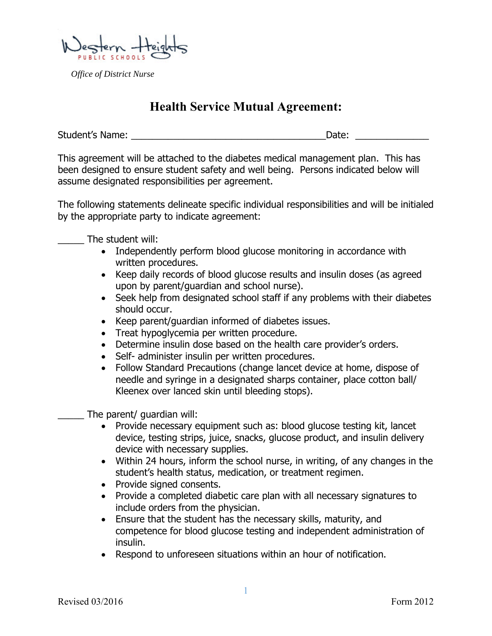*Office of District Nurse* 

## **Health Service Mutual Agreement:**

Student's Name: \_\_\_\_\_\_\_\_\_\_\_\_\_\_\_\_\_\_\_\_\_\_\_\_\_\_\_\_\_\_\_\_\_\_\_\_\_Date: \_\_\_\_\_\_\_\_\_\_\_\_\_\_

This agreement will be attached to the diabetes medical management plan. This has been designed to ensure student safety and well being. Persons indicated below will assume designated responsibilities per agreement.

The following statements delineate specific individual responsibilities and will be initialed by the appropriate party to indicate agreement:

The student will:

- Independently perform blood glucose monitoring in accordance with written procedures.
- Keep daily records of blood glucose results and insulin doses (as agreed upon by parent/guardian and school nurse).
- Seek help from designated school staff if any problems with their diabetes should occur.
- Keep parent/guardian informed of diabetes issues.
- Treat hypoglycemia per written procedure.
- Determine insulin dose based on the health care provider's orders.
- Self- administer insulin per written procedures.
- Follow Standard Precautions (change lancet device at home, dispose of needle and syringe in a designated sharps container, place cotton ball/ Kleenex over lanced skin until bleeding stops).

The parent/ guardian will:

- Provide necessary equipment such as: blood glucose testing kit, lancet device, testing strips, juice, snacks, glucose product, and insulin delivery device with necessary supplies.
- Within 24 hours, inform the school nurse, in writing, of any changes in the student's health status, medication, or treatment regimen.
- Provide signed consents.
- Provide a completed diabetic care plan with all necessary signatures to include orders from the physician.
- Ensure that the student has the necessary skills, maturity, and competence for blood glucose testing and independent administration of insulin.
- Respond to unforeseen situations within an hour of notification.